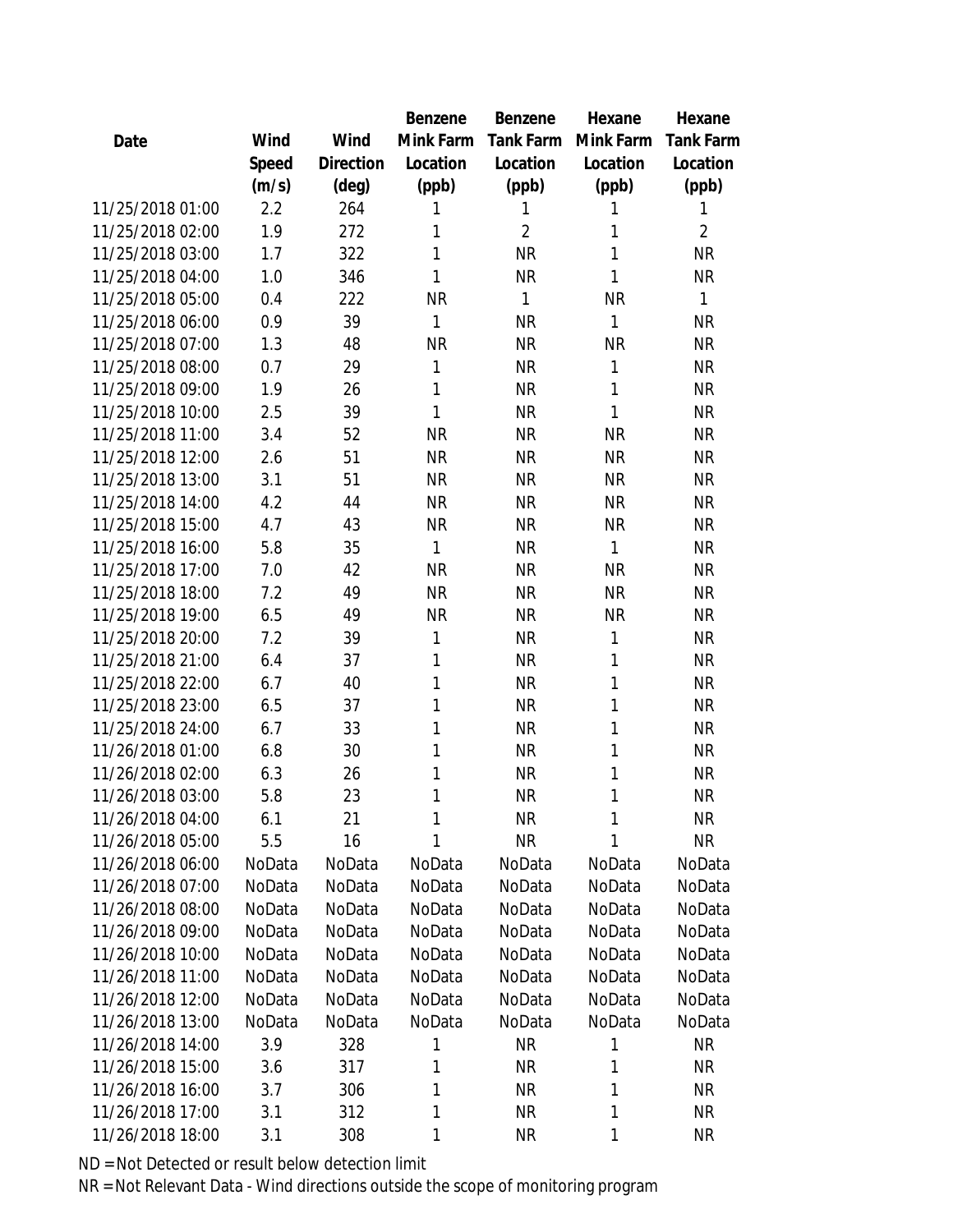|                  |        |           | Benzene   | <b>Benzene</b> | Hexane    | Hexane           |
|------------------|--------|-----------|-----------|----------------|-----------|------------------|
| Date             | Wind   | Wind      | Mink Farm | Tank Farm      | Mink Farm | <b>Tank Farm</b> |
|                  | Speed  | Direction | Location  | Location       | Location  | Location         |
|                  | (m/s)  | (deg)     | (ppb)     | (ppb)          | (ppb)     | (ppb)            |
| 11/25/2018 01:00 | 2.2    | 264       | 1         | 1              | 1         | 1                |
| 11/25/2018 02:00 | 1.9    | 272       | 1         | $\overline{2}$ | 1         | $\overline{2}$   |
| 11/25/2018 03:00 | 1.7    | 322       | 1         | <b>NR</b>      | 1         | <b>NR</b>        |
| 11/25/2018 04:00 | 1.0    | 346       | 1         | <b>NR</b>      | 1         | <b>NR</b>        |
| 11/25/2018 05:00 | 0.4    | 222       | <b>NR</b> | 1              | <b>NR</b> | 1                |
| 11/25/2018 06:00 | 0.9    | 39        | 1         | <b>NR</b>      | 1         | <b>NR</b>        |
| 11/25/2018 07:00 | 1.3    | 48        | <b>NR</b> | <b>NR</b>      | <b>NR</b> | <b>NR</b>        |
| 11/25/2018 08:00 | 0.7    | 29        | 1         | <b>NR</b>      | 1         | <b>NR</b>        |
| 11/25/2018 09:00 | 1.9    | 26        | 1         | <b>NR</b>      | 1         | <b>NR</b>        |
| 11/25/2018 10:00 | 2.5    | 39        | 1         | <b>NR</b>      | 1         | <b>NR</b>        |
| 11/25/2018 11:00 | 3.4    | 52        | <b>NR</b> | <b>NR</b>      | <b>NR</b> | <b>NR</b>        |
| 11/25/2018 12:00 | 2.6    | 51        | <b>NR</b> | <b>NR</b>      | <b>NR</b> | <b>NR</b>        |
| 11/25/2018 13:00 | 3.1    | 51        | <b>NR</b> | <b>NR</b>      | <b>NR</b> | <b>NR</b>        |
| 11/25/2018 14:00 | 4.2    | 44        | <b>NR</b> | <b>NR</b>      | <b>NR</b> | <b>NR</b>        |
| 11/25/2018 15:00 | 4.7    | 43        | <b>NR</b> | <b>NR</b>      | <b>NR</b> | <b>NR</b>        |
| 11/25/2018 16:00 | 5.8    | 35        | 1         | <b>NR</b>      | 1         | <b>NR</b>        |
| 11/25/2018 17:00 | 7.0    | 42        | <b>NR</b> | <b>NR</b>      | <b>NR</b> | <b>NR</b>        |
| 11/25/2018 18:00 | 7.2    | 49        | <b>NR</b> | <b>NR</b>      | <b>NR</b> | <b>NR</b>        |
| 11/25/2018 19:00 | 6.5    | 49        | <b>NR</b> | <b>NR</b>      | <b>NR</b> | <b>NR</b>        |
| 11/25/2018 20:00 | 7.2    | 39        | 1         | <b>NR</b>      | 1         | <b>NR</b>        |
| 11/25/2018 21:00 | 6.4    | 37        | 1         | <b>NR</b>      | 1         | <b>NR</b>        |
| 11/25/2018 22:00 | 6.7    | 40        | 1         | <b>NR</b>      | 1         | <b>NR</b>        |
| 11/25/2018 23:00 | 6.5    | 37        | 1         | <b>NR</b>      | 1         | <b>NR</b>        |
| 11/25/2018 24:00 | 6.7    | 33        | 1         | <b>NR</b>      | 1         | <b>NR</b>        |
| 11/26/2018 01:00 | 6.8    | 30        | 1         | <b>NR</b>      | 1         | <b>NR</b>        |
| 11/26/2018 02:00 | 6.3    | 26        | 1         | <b>NR</b>      | 1         | <b>NR</b>        |
| 11/26/2018 03:00 | 5.8    | 23        | 1         | <b>NR</b>      | 1         | <b>NR</b>        |
| 11/26/2018 04:00 | 6.1    | 21        | 1         | <b>NR</b>      | 1         | NR               |
| 11/26/2018 05:00 | 5.5    | 16        | 1         | <b>NR</b>      | 1         | <b>NR</b>        |
| 11/26/2018 06:00 | NoData | NoData    | NoData    | NoData         | NoData    | NoData           |
| 11/26/2018 07:00 | NoData | NoData    | NoData    | NoData         | NoData    | NoData           |
| 11/26/2018 08:00 | NoData | NoData    | NoData    | NoData         | NoData    | NoData           |
| 11/26/2018 09:00 | NoData | NoData    | NoData    | NoData         | NoData    | NoData           |
| 11/26/2018 10:00 | NoData | NoData    | NoData    | NoData         | NoData    | NoData           |
| 11/26/2018 11:00 | NoData | NoData    | NoData    | NoData         | NoData    | NoData           |
| 11/26/2018 12:00 | NoData | NoData    | NoData    | NoData         | NoData    | NoData           |
| 11/26/2018 13:00 | NoData | NoData    | NoData    | NoData         | NoData    | NoData           |
| 11/26/2018 14:00 | 3.9    | 328       | 1         | <b>NR</b>      | 1         | <b>NR</b>        |
| 11/26/2018 15:00 | 3.6    | 317       | 1         | <b>NR</b>      | 1         | NR               |
| 11/26/2018 16:00 | 3.7    | 306       | 1         | <b>NR</b>      | 1         | <b>NR</b>        |
| 11/26/2018 17:00 | 3.1    | 312       | 1         | NR             | 1         | NR               |
| 11/26/2018 18:00 | 3.1    | 308       | 1         | <b>NR</b>      | 1         | <b>NR</b>        |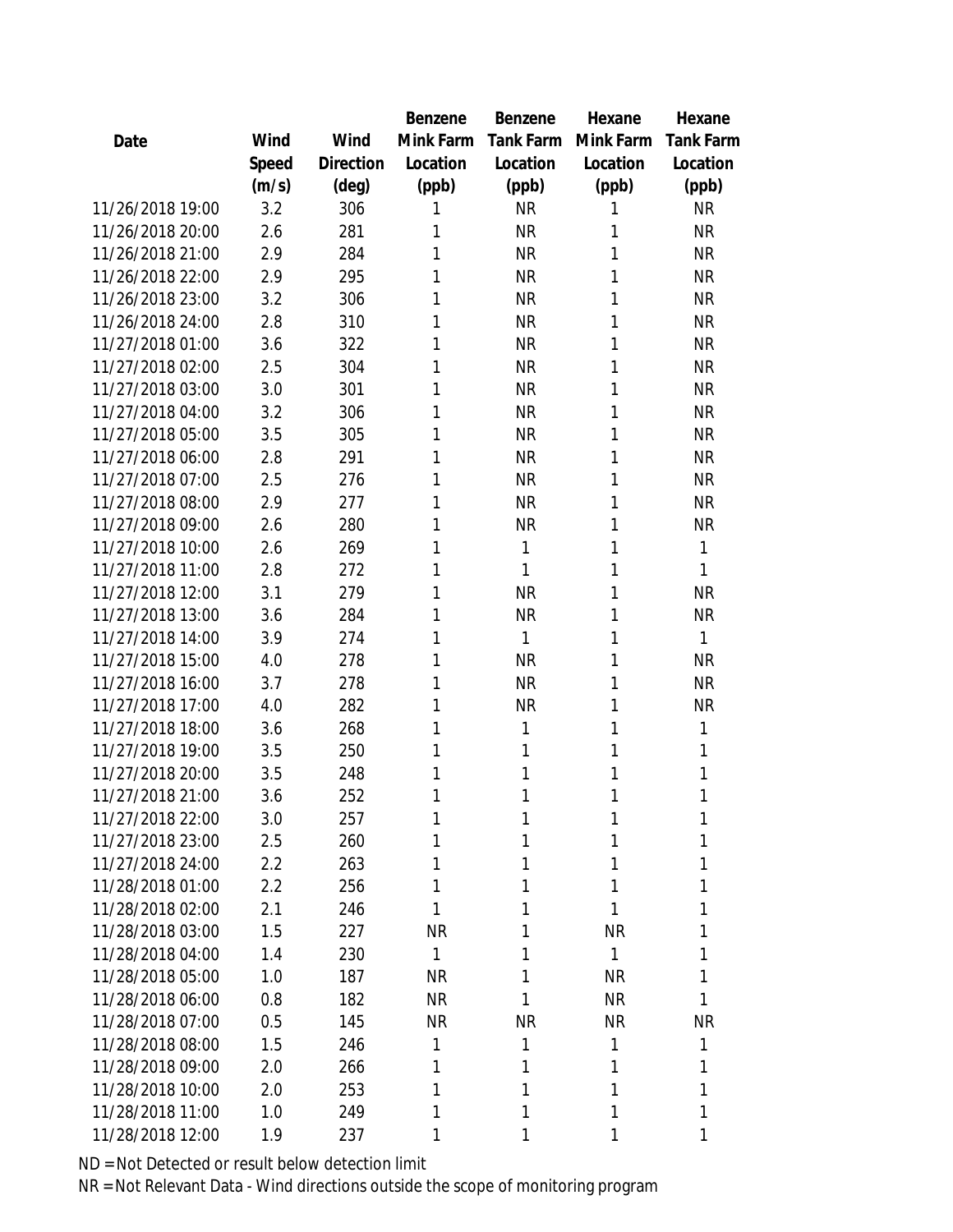|                  |       |           | Benzene   | <b>Benzene</b>   | Hexane    | Hexane           |
|------------------|-------|-----------|-----------|------------------|-----------|------------------|
| Date             | Wind  | Wind      | Mink Farm | <b>Tank Farm</b> | Mink Farm | <b>Tank Farm</b> |
|                  | Speed | Direction | Location  | Location         | Location  | Location         |
|                  | (m/s) | (deg)     | (ppb)     | (ppb)            | (ppb)     | (ppb)            |
| 11/26/2018 19:00 | 3.2   | 306       | 1         | <b>NR</b>        | 1         | <b>NR</b>        |
| 11/26/2018 20:00 | 2.6   | 281       | 1         | <b>NR</b>        | 1         | <b>NR</b>        |
| 11/26/2018 21:00 | 2.9   | 284       | 1         | <b>NR</b>        | 1         | <b>NR</b>        |
| 11/26/2018 22:00 | 2.9   | 295       | 1         | <b>NR</b>        | 1         | <b>NR</b>        |
| 11/26/2018 23:00 | 3.2   | 306       | 1         | <b>NR</b>        | 1         | <b>NR</b>        |
| 11/26/2018 24:00 | 2.8   | 310       | 1         | <b>NR</b>        | 1         | <b>NR</b>        |
| 11/27/2018 01:00 | 3.6   | 322       | 1         | <b>NR</b>        | 1         | <b>NR</b>        |
| 11/27/2018 02:00 | 2.5   | 304       | 1         | <b>NR</b>        | 1         | <b>NR</b>        |
| 11/27/2018 03:00 | 3.0   | 301       | 1         | <b>NR</b>        | 1         | <b>NR</b>        |
| 11/27/2018 04:00 | 3.2   | 306       | 1         | <b>NR</b>        | 1         | <b>NR</b>        |
| 11/27/2018 05:00 | 3.5   | 305       | 1         | <b>NR</b>        | 1         | <b>NR</b>        |
| 11/27/2018 06:00 | 2.8   | 291       | 1         | <b>NR</b>        | 1         | <b>NR</b>        |
| 11/27/2018 07:00 | 2.5   | 276       | 1         | <b>NR</b>        | 1         | <b>NR</b>        |
| 11/27/2018 08:00 | 2.9   | 277       | 1         | <b>NR</b>        | 1         | <b>NR</b>        |
| 11/27/2018 09:00 | 2.6   | 280       | 1         | <b>NR</b>        | 1         | <b>NR</b>        |
| 11/27/2018 10:00 | 2.6   | 269       | 1         | 1                | 1         | 1                |
| 11/27/2018 11:00 | 2.8   | 272       | 1         | 1                | 1         | 1                |
| 11/27/2018 12:00 | 3.1   | 279       | 1         | <b>NR</b>        | 1         | <b>NR</b>        |
| 11/27/2018 13:00 | 3.6   | 284       | 1         | <b>NR</b>        | 1         | <b>NR</b>        |
| 11/27/2018 14:00 | 3.9   | 274       | 1         | 1                | 1         | 1                |
| 11/27/2018 15:00 | 4.0   | 278       | 1         | <b>NR</b>        | 1         | <b>NR</b>        |
| 11/27/2018 16:00 | 3.7   | 278       | 1         | <b>NR</b>        | 1         | <b>NR</b>        |
| 11/27/2018 17:00 | 4.0   | 282       | 1         | <b>NR</b>        | 1         | <b>NR</b>        |
| 11/27/2018 18:00 | 3.6   | 268       | 1         | 1                | 1         | 1                |
| 11/27/2018 19:00 | 3.5   | 250       | 1         | 1                | 1         | 1                |
| 11/27/2018 20:00 | 3.5   | 248       | 1         | 1                | 1         | 1                |
| 11/27/2018 21:00 | 3.6   | 252       | 1         | 1                | 1         | 1                |
| 11/27/2018 22:00 | 3.0   | 257       | 1         | 1                | 1         | 1                |
| 11/27/2018 23:00 | 2.5   | 260       | 1         | 1                | 1         | 1                |
| 11/27/2018 24:00 | 2.2   | 263       | 1         | 1                | 1         | 1                |
| 11/28/2018 01:00 | 2.2   | 256       | 1         | 1                | 1         | 1                |
| 11/28/2018 02:00 | 2.1   | 246       | 1         | 1                | 1         | 1                |
| 11/28/2018 03:00 | 1.5   | 227       | <b>NR</b> | 1                | <b>NR</b> | 1                |
| 11/28/2018 04:00 | 1.4   | 230       | 1         | 1                | 1         | 1                |
| 11/28/2018 05:00 | 1.0   | 187       | <b>NR</b> | 1                | <b>NR</b> | 1                |
| 11/28/2018 06:00 | 0.8   | 182       | <b>NR</b> | 1                | <b>NR</b> | 1                |
| 11/28/2018 07:00 | 0.5   | 145       | <b>NR</b> | <b>NR</b>        | <b>NR</b> | <b>NR</b>        |
| 11/28/2018 08:00 | 1.5   | 246       | 1         | 1                | 1         | 1                |
| 11/28/2018 09:00 | 2.0   | 266       | 1         | 1                | 1         | 1                |
| 11/28/2018 10:00 | 2.0   | 253       | 1         | 1                | 1         | 1                |
| 11/28/2018 11:00 | 1.0   | 249       | 1         | 1                | 1         | $\mathbf{1}$     |
| 11/28/2018 12:00 | 1.9   | 237       | 1         | 1                | 1         | 1                |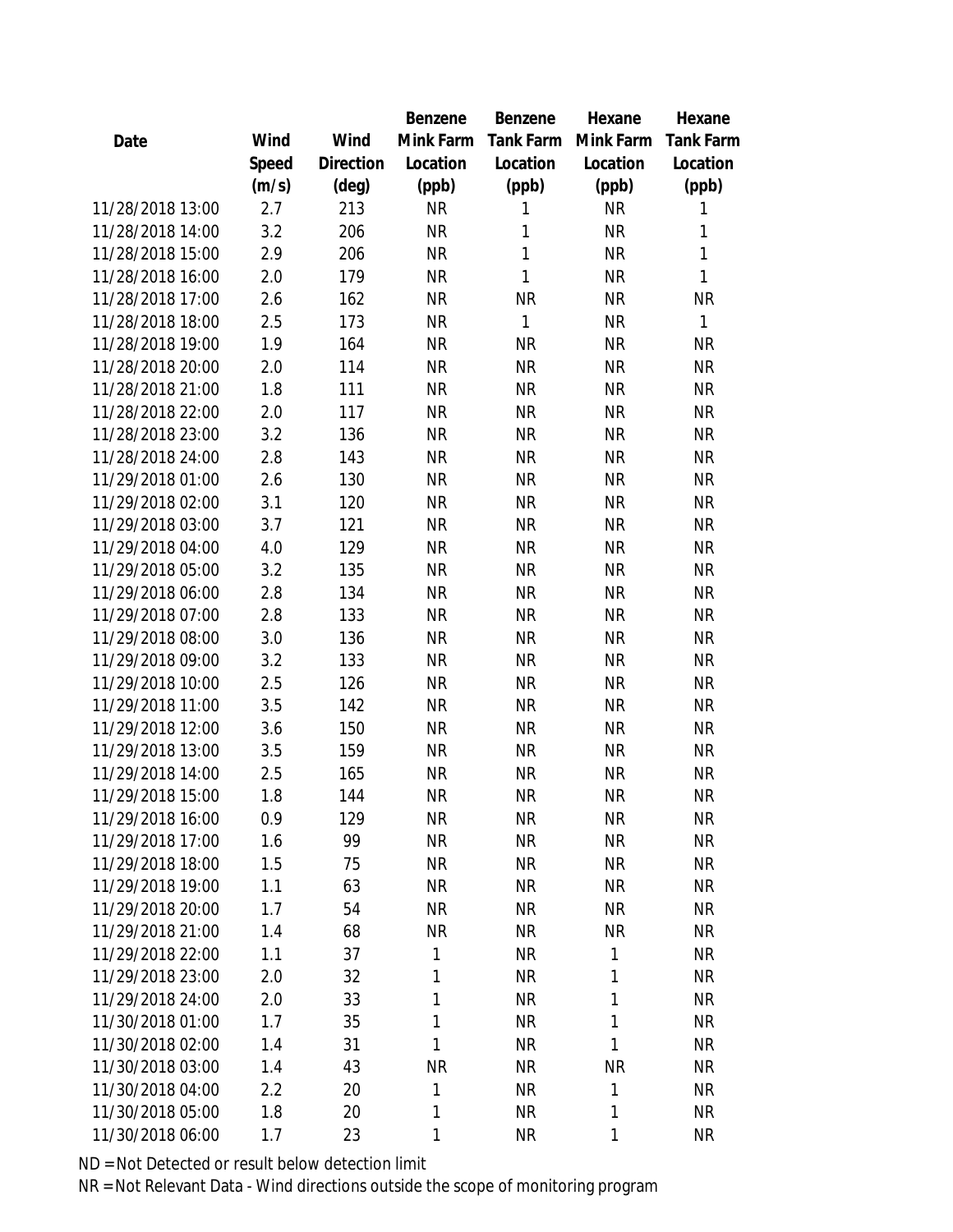|                  |       |                | Benzene      | Benzene   | Hexane       | Hexane           |
|------------------|-------|----------------|--------------|-----------|--------------|------------------|
| Date             | Wind  | Wind           | Mink Farm    | Tank Farm | Mink Farm    | <b>Tank Farm</b> |
|                  | Speed | Direction      | Location     | Location  | Location     | Location         |
|                  | (m/s) | $(\text{deg})$ | (ppb)        | (ppb)     | (ppb)        | (ppb)            |
| 11/28/2018 13:00 | 2.7   | 213            | <b>NR</b>    | 1         | <b>NR</b>    | 1                |
| 11/28/2018 14:00 | 3.2   | 206            | <b>NR</b>    | 1         | <b>NR</b>    | 1                |
| 11/28/2018 15:00 | 2.9   | 206            | <b>NR</b>    | 1         | <b>NR</b>    | 1                |
| 11/28/2018 16:00 | 2.0   | 179            | <b>NR</b>    | 1         | <b>NR</b>    | 1                |
| 11/28/2018 17:00 | 2.6   | 162            | <b>NR</b>    | <b>NR</b> | <b>NR</b>    | <b>NR</b>        |
| 11/28/2018 18:00 | 2.5   | 173            | <b>NR</b>    | 1         | <b>NR</b>    | 1                |
| 11/28/2018 19:00 | 1.9   | 164            | <b>NR</b>    | <b>NR</b> | <b>NR</b>    | <b>NR</b>        |
| 11/28/2018 20:00 | 2.0   | 114            | <b>NR</b>    | <b>NR</b> | <b>NR</b>    | <b>NR</b>        |
| 11/28/2018 21:00 | 1.8   | 111            | <b>NR</b>    | <b>NR</b> | <b>NR</b>    | <b>NR</b>        |
| 11/28/2018 22:00 | 2.0   | 117            | <b>NR</b>    | <b>NR</b> | <b>NR</b>    | <b>NR</b>        |
| 11/28/2018 23:00 | 3.2   | 136            | <b>NR</b>    | <b>NR</b> | <b>NR</b>    | <b>NR</b>        |
| 11/28/2018 24:00 | 2.8   | 143            | <b>NR</b>    | <b>NR</b> | <b>NR</b>    | <b>NR</b>        |
| 11/29/2018 01:00 | 2.6   | 130            | <b>NR</b>    | <b>NR</b> | <b>NR</b>    | <b>NR</b>        |
| 11/29/2018 02:00 | 3.1   | 120            | <b>NR</b>    | <b>NR</b> | <b>NR</b>    | <b>NR</b>        |
| 11/29/2018 03:00 | 3.7   | 121            | <b>NR</b>    | <b>NR</b> | <b>NR</b>    | <b>NR</b>        |
| 11/29/2018 04:00 | 4.0   | 129            | <b>NR</b>    | <b>NR</b> | <b>NR</b>    | <b>NR</b>        |
| 11/29/2018 05:00 | 3.2   | 135            | <b>NR</b>    | <b>NR</b> | <b>NR</b>    | <b>NR</b>        |
| 11/29/2018 06:00 | 2.8   | 134            | <b>NR</b>    | <b>NR</b> | <b>NR</b>    | <b>NR</b>        |
| 11/29/2018 07:00 | 2.8   | 133            | <b>NR</b>    | <b>NR</b> | <b>NR</b>    | <b>NR</b>        |
| 11/29/2018 08:00 | 3.0   | 136            | <b>NR</b>    | <b>NR</b> | <b>NR</b>    | <b>NR</b>        |
| 11/29/2018 09:00 | 3.2   | 133            | <b>NR</b>    | <b>NR</b> | <b>NR</b>    | <b>NR</b>        |
| 11/29/2018 10:00 | 2.5   | 126            | <b>NR</b>    | <b>NR</b> | <b>NR</b>    | <b>NR</b>        |
| 11/29/2018 11:00 | 3.5   | 142            | <b>NR</b>    | <b>NR</b> | <b>NR</b>    | <b>NR</b>        |
| 11/29/2018 12:00 | 3.6   | 150            | <b>NR</b>    | <b>NR</b> | <b>NR</b>    | <b>NR</b>        |
| 11/29/2018 13:00 | 3.5   | 159            | <b>NR</b>    | <b>NR</b> | <b>NR</b>    | <b>NR</b>        |
| 11/29/2018 14:00 | 2.5   | 165            | <b>NR</b>    | <b>NR</b> | <b>NR</b>    | <b>NR</b>        |
| 11/29/2018 15:00 | 1.8   | 144            | <b>NR</b>    | <b>NR</b> | <b>NR</b>    | <b>NR</b>        |
| 11/29/2018 16:00 | 0.9   | 129            | <b>NR</b>    | <b>NR</b> | <b>NR</b>    | <b>NR</b>        |
| 11/29/2018 17:00 | 1.6   | 99             | <b>NR</b>    | <b>NR</b> | <b>NR</b>    | <b>NR</b>        |
| 11/29/2018 18:00 | 1.5   | 75             | <b>NR</b>    | <b>NR</b> | <b>NR</b>    | <b>NR</b>        |
| 11/29/2018 19:00 | 1.1   | 63             | <b>NR</b>    | <b>NR</b> | <b>NR</b>    | <b>NR</b>        |
| 11/29/2018 20:00 | 1.7   | 54             | <b>NR</b>    | <b>NR</b> | <b>NR</b>    | <b>NR</b>        |
| 11/29/2018 21:00 | 1.4   | 68             | <b>NR</b>    | <b>NR</b> | <b>NR</b>    | <b>NR</b>        |
| 11/29/2018 22:00 | 1.1   | 37             | 1            | <b>NR</b> | $\mathbf{1}$ | <b>NR</b>        |
| 11/29/2018 23:00 | 2.0   | 32             | 1            | <b>NR</b> | 1            | <b>NR</b>        |
| 11/29/2018 24:00 | 2.0   | 33             | 1            | <b>NR</b> | $\mathbf{1}$ | <b>NR</b>        |
| 11/30/2018 01:00 | 1.7   | 35             | 1            | <b>NR</b> | $\mathbf{1}$ | <b>NR</b>        |
| 11/30/2018 02:00 | 1.4   | 31             | $\mathbf{1}$ | <b>NR</b> | $\mathbf{1}$ | <b>NR</b>        |
| 11/30/2018 03:00 | 1.4   | 43             | <b>NR</b>    | <b>NR</b> | <b>NR</b>    | <b>NR</b>        |
| 11/30/2018 04:00 | 2.2   | 20             | $\mathbf{1}$ | <b>NR</b> | $\mathbf{1}$ | <b>NR</b>        |
| 11/30/2018 05:00 | 1.8   | 20             | 1            | <b>NR</b> | $\mathbf{1}$ | <b>NR</b>        |
| 11/30/2018 06:00 | 1.7   | 23             | 1            | <b>NR</b> | $\mathbf{1}$ | <b>NR</b>        |
|                  |       |                |              |           |              |                  |